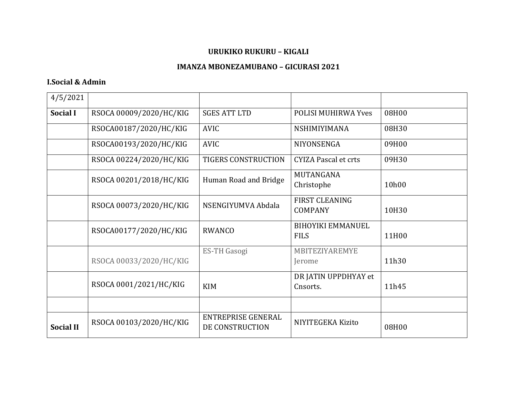## URUKIKO RUKURU - KIGALI

## **IMANZA MBONEZAMUBANO - GICURASI 2021**

## **I.Social & Admin**

| 4/5/2021         |                         |                                              |                                         |       |
|------------------|-------------------------|----------------------------------------------|-----------------------------------------|-------|
| <b>Social I</b>  | RSOCA 00009/2020/HC/KIG | <b>SGES ATT LTD</b>                          | <b>POLISI MUHIRWA Yves</b>              | 08H00 |
|                  | RSOCA00187/2020/HC/KIG  | <b>AVIC</b>                                  | NSHIMIYIMANA                            | 08H30 |
|                  | RSOCA00193/2020/HC/KIG  | <b>AVIC</b>                                  | NIYONSENGA                              | 09H00 |
|                  | RSOCA 00224/2020/HC/KIG | <b>TIGERS CONSTRUCTION</b>                   | <b>CYIZA Pascal et crts</b>             | 09H30 |
|                  | RSOCA 00201/2018/HC/KIG | Human Road and Bridge                        | MUTANGANA<br>Christophe                 | 10h00 |
|                  | RSOCA 00073/2020/HC/KIG | NSENGIYUMVA Abdala                           | <b>FIRST CLEANING</b><br><b>COMPANY</b> | 10H30 |
|                  | RSOCA00177/2020/HC/KIG  | <b>RWANCO</b>                                | <b>BIHOYIKI EMMANUEL</b><br><b>FILS</b> | 11H00 |
|                  | RSOCA 00033/2020/HC/KIG | <b>ES-TH Gasogi</b>                          | MBITEZIYAREMYE<br>Jerome                | 11h30 |
|                  | RSOCA 0001/2021/HC/KIG  | <b>KIM</b>                                   | DR JATIN UPPDHYAY et<br>Cnsorts.        | 11h45 |
|                  |                         |                                              |                                         |       |
| <b>Social II</b> | RSOCA 00103/2020/HC/KIG | <b>ENTREPRISE GENERAL</b><br>DE CONSTRUCTION | NIYITEGEKA Kizito                       | 08H00 |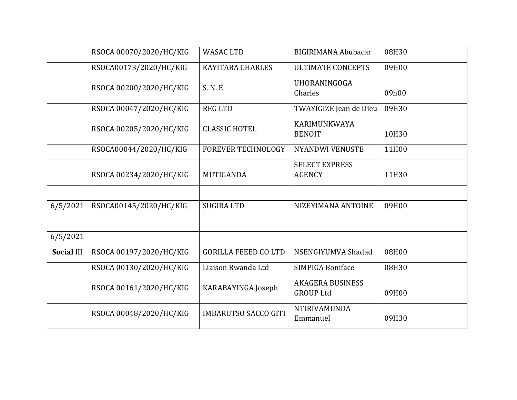|                   | RSOCA 00070/2020/HC/KIG | <b>WASAC LTD</b>            | <b>BIGIRIMANA Abubacar</b>                  | 08H30 |
|-------------------|-------------------------|-----------------------------|---------------------------------------------|-------|
|                   | RSOCA00173/2020/HC/KIG  | <b>KAYITABA CHARLES</b>     | <b>ULTIMATE CONCEPTS</b>                    | 09H00 |
|                   | RSOCA 00200/2020/HC/KIG | S. N. E                     | UHORANINGOGA<br>Charles                     | 09h00 |
|                   | RSOCA 00047/2020/HC/KIG | <b>REG LTD</b>              | TWAYIGIZE Jean de Dieu                      | 09H30 |
|                   | RSOCA 00205/2020/HC/KIG | <b>CLASSIC HOTEL</b>        | KARIMUNKWAYA<br><b>BENOIT</b>               | 10H30 |
|                   | RSOCA00044/2020/HC/KIG  | <b>FOREVER TECHNOLOGY</b>   | <b>NYANDWI VENUSTE</b>                      | 11H00 |
|                   | RSOCA 00234/2020/HC/KIG | MUTIGANDA                   | <b>SELECT EXPRESS</b><br><b>AGENCY</b>      | 11H30 |
|                   |                         |                             |                                             |       |
| 6/5/2021          | RSOCA00145/2020/HC/KIG  | <b>SUGIRA LTD</b>           | NIZEYIMANA ANTOINE                          | 09H00 |
|                   |                         |                             |                                             |       |
| 6/5/2021          |                         |                             |                                             |       |
| <b>Social III</b> | RSOCA 00197/2020/HC/KIG | <b>GORILLA FEEED CO LTD</b> | NSENGIYUMVA Shadad                          | 08H00 |
|                   | RSOCA 00130/2020/HC/KIG | Liaison Rwanda Ltd          | <b>SIMPIGA Boniface</b>                     | 08H30 |
|                   | RSOCA 00161/2020/HC/KIG | KARABAYINGA Joseph          | <b>AKAGERA BUSINESS</b><br><b>GROUP Ltd</b> | 09H00 |
|                   | RSOCA 00048/2020/HC/KIG | <b>IMBARUTSO SACCO GITI</b> | <b>NTIRIVAMUNDA</b><br>Emmanuel             | 09H30 |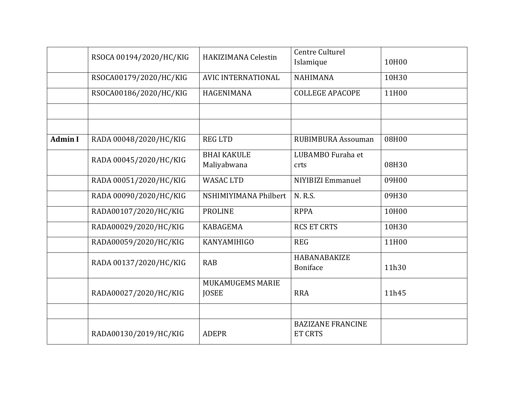|                | RSOCA 00194/2020/HC/KIG | HAKIZIMANA Celestin              | <b>Centre Culturel</b><br>Islamique        | 10H00 |
|----------------|-------------------------|----------------------------------|--------------------------------------------|-------|
|                | RSOCA00179/2020/HC/KIG  | <b>AVIC INTERNATIONAL</b>        | <b>NAHIMANA</b>                            | 10H30 |
|                | RSOCA00186/2020/HC/KIG  | HAGENIMANA                       | <b>COLLEGE APACOPE</b>                     | 11H00 |
|                |                         |                                  |                                            |       |
|                |                         |                                  |                                            |       |
| <b>Admin I</b> | RADA 00048/2020/HC/KIG  | <b>REG LTD</b>                   | <b>RUBIMBURA Assouman</b>                  | 08H00 |
|                | RADA 00045/2020/HC/KIG  | <b>BHAI KAKULE</b>               | LUBAMBO Furaha et                          |       |
|                |                         | Maliyabwana                      | crts                                       | 08H30 |
|                | RADA 00051/2020/HC/KIG  | <b>WASAC LTD</b>                 | NIYIBIZI Emmanuel                          | 09H00 |
|                | RADA 00090/2020/HC/KIG  | NSHIMIYIMANA Philbert            | N. R.S.                                    | 09H30 |
|                | RADA00107/2020/HC/KIG   | <b>PROLINE</b>                   | <b>RPPA</b>                                | 10H00 |
|                | RADA00029/2020/HC/KIG   | <b>KABAGEMA</b>                  | <b>RCS ET CRTS</b>                         | 10H30 |
|                | RADA00059/2020/HC/KIG   | KANYAMIHIGO                      | <b>REG</b>                                 | 11H00 |
|                | RADA 00137/2020/HC/KIG  | <b>RAB</b>                       | HABANABAKIZE<br>Boniface                   | 11h30 |
|                | RADA00027/2020/HC/KIG   | MUKAMUGEMS MARIE<br><b>JOSEE</b> | <b>RRA</b>                                 | 11h45 |
|                |                         |                                  |                                            |       |
|                | RADA00130/2019/HC/KIG   | <b>ADEPR</b>                     | <b>BAZIZANE FRANCINE</b><br><b>ET CRTS</b> |       |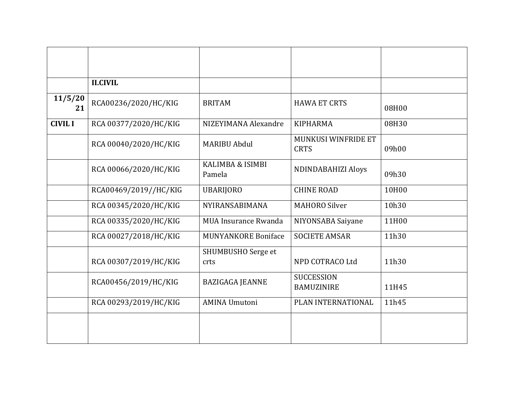|                | <b>II.CIVIL</b>       |                             |                                        |       |
|----------------|-----------------------|-----------------------------|----------------------------------------|-------|
| 11/5/20<br>21  | RCA00236/2020/HC/KIG  | <b>BRITAM</b>               | <b>HAWA ET CRTS</b>                    | 08H00 |
| <b>CIVIL I</b> | RCA 00377/2020/HC/KIG | NIZEYIMANA Alexandre        | <b>KIPHARMA</b>                        | 08H30 |
|                | RCA 00040/2020/HC/KIG | <b>MARIBU Abdul</b>         | MUNKUSI WINFRIDE ET<br><b>CRTS</b>     | 09h00 |
|                | RCA 00066/2020/HC/KIG | KALIMBA & ISIMBI<br>Pamela  | <b>NDINDABAHIZI Aloys</b>              | 09h30 |
|                | RCA00469/2019//HC/KIG | <b>UBARIJORO</b>            | <b>CHINE ROAD</b>                      | 10H00 |
|                | RCA 00345/2020/HC/KIG | NYIRANSABIMANA              | <b>MAHORO Silver</b>                   | 10h30 |
|                | RCA 00335/2020/HC/KIG | <b>MUA Insurance Rwanda</b> | NIYONSABA Saiyane                      | 11H00 |
|                | RCA 00027/2018/HC/KIG | <b>MUNYANKORE Boniface</b>  | <b>SOCIETE AMSAR</b>                   | 11h30 |
|                | RCA 00307/2019/HC/KIG | SHUMBUSHO Serge et<br>crts  | NPD COTRACO Ltd                        | 11h30 |
|                | RCA00456/2019/HC/KIG  | <b>BAZIGAGA JEANNE</b>      | <b>SUCCESSION</b><br><b>BAMUZINIRE</b> | 11H45 |
|                | RCA 00293/2019/HC/KIG | <b>AMINA Umutoni</b>        | PLAN INTERNATIONAL                     | 11h45 |
|                |                       |                             |                                        |       |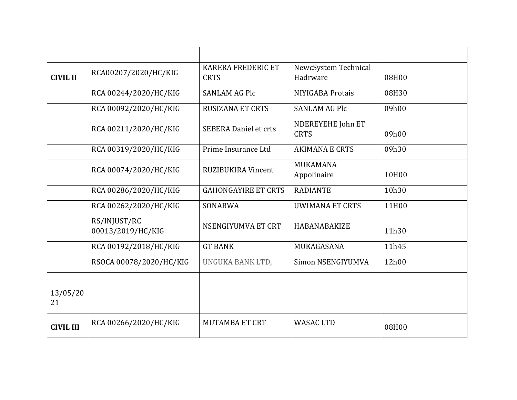| <b>CIVIL II</b>  | RCA00207/2020/HC/KIG              | <b>KARERA FREDERIC ET</b><br><b>CRTS</b> | NewcSystem Technical<br>Hadrware | 08H00 |
|------------------|-----------------------------------|------------------------------------------|----------------------------------|-------|
|                  | RCA 00244/2020/HC/KIG             | <b>SANLAM AG Plc</b>                     | NIYIGABA Protais                 | 08H30 |
|                  | RCA 00092/2020/HC/KIG             | <b>RUSIZANA ET CRTS</b>                  | <b>SANLAM AG Plc</b>             | 09h00 |
|                  | RCA 00211/2020/HC/KIG             | <b>SEBERA Daniel et crts</b>             | NDEREYEHE John ET<br><b>CRTS</b> | 09h00 |
|                  | RCA 00319/2020/HC/KIG             | Prime Insurance Ltd                      | <b>AKIMANA E CRTS</b>            | 09h30 |
|                  | RCA 00074/2020/HC/KIG             | <b>RUZIBUKIRA Vincent</b>                | MUKAMANA<br>Appolinaire          | 10H00 |
|                  | RCA 00286/2020/HC/KIG             | <b>GAHONGAYIRE ET CRTS</b>               | <b>RADIANTE</b>                  | 10h30 |
|                  | RCA 00262/2020/HC/KIG             | SONARWA                                  | <b>UWIMANA ET CRTS</b>           | 11H00 |
|                  | RS/INJUST/RC<br>00013/2019/HC/KIG | NSENGIYUMVA ET CRT                       | <b>HABANABAKIZE</b>              | 11h30 |
|                  | RCA 00192/2018/HC/KIG             | <b>GT BANK</b>                           | MUKAGASANA                       | 11h45 |
|                  | RSOCA 00078/2020/HC/KIG           | UNGUKA BANK LTD,                         | Simon NSENGIYUMVA                | 12h00 |
|                  |                                   |                                          |                                  |       |
| 13/05/20<br>21   |                                   |                                          |                                  |       |
| <b>CIVIL III</b> | RCA 00266/2020/HC/KIG             | <b>MUTAMBA ET CRT</b>                    | <b>WASAC LTD</b>                 | 08H00 |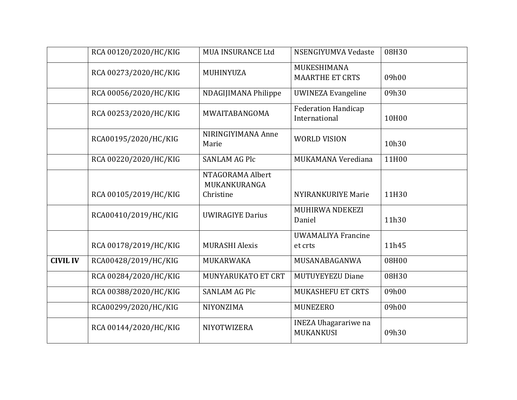|                 | RCA 00120/2020/HC/KIG | <b>MUA INSURANCE Ltd</b>         | NSENGIYUMVA Vedaste                         | 08H30 |
|-----------------|-----------------------|----------------------------------|---------------------------------------------|-------|
|                 | RCA 00273/2020/HC/KIG | MUHINYUZA                        | MUKESHIMANA<br><b>MAARTHE ET CRTS</b>       | 09h00 |
|                 | RCA 00056/2020/HC/KIG | NDAGIJIMANA Philippe             | <b>UWINEZA Evangeline</b>                   | 09h30 |
|                 | RCA 00253/2020/HC/KIG | MWAITABANGOMA                    | <b>Federation Handicap</b><br>International | 10H00 |
|                 | RCA00195/2020/HC/KIG  | NIRINGIYIMANA Anne<br>Marie      | <b>WORLD VISION</b>                         | 10h30 |
|                 | RCA 00220/2020/HC/KIG | <b>SANLAM AG Plc</b>             | MUKAMANA Verediana                          | 11H00 |
|                 |                       | NTAGORAMA Albert<br>MUKANKURANGA |                                             |       |
|                 | RCA 00105/2019/HC/KIG | Christine                        | <b>NYIRANKURIYE Marie</b>                   | 11H30 |
|                 | RCA00410/2019/HC/KIG  | <b>UWIRAGIYE Darius</b>          | MUHIRWA NDEKEZI<br>Daniel                   | 11h30 |
|                 | RCA 00178/2019/HC/KIG | <b>MURASHI Alexis</b>            | <b>UWAMALIYA Francine</b><br>et crts        | 11h45 |
| <b>CIVIL IV</b> | RCA00428/2019/HC/KIG  | MUKARWAKA                        | MUSANABAGANWA                               | 08H00 |
|                 | RCA 00284/2020/HC/KIG | MUNYARUKATO ET CRT               | MUTUYEYEZU Diane                            | 08H30 |
|                 | RCA 00388/2020/HC/KIG | <b>SANLAM AG Plc</b>             | <b>MUKASHEFU ET CRTS</b>                    | 09h00 |
|                 | RCA00299/2020/HC/KIG  | NIYONZIMA                        | <b>MUNEZERO</b>                             | 09h00 |
|                 | RCA 00144/2020/HC/KIG | NIYOTWIZERA                      | <b>INEZA Uhagarariwe na</b><br>MUKANKUSI    | 09h30 |